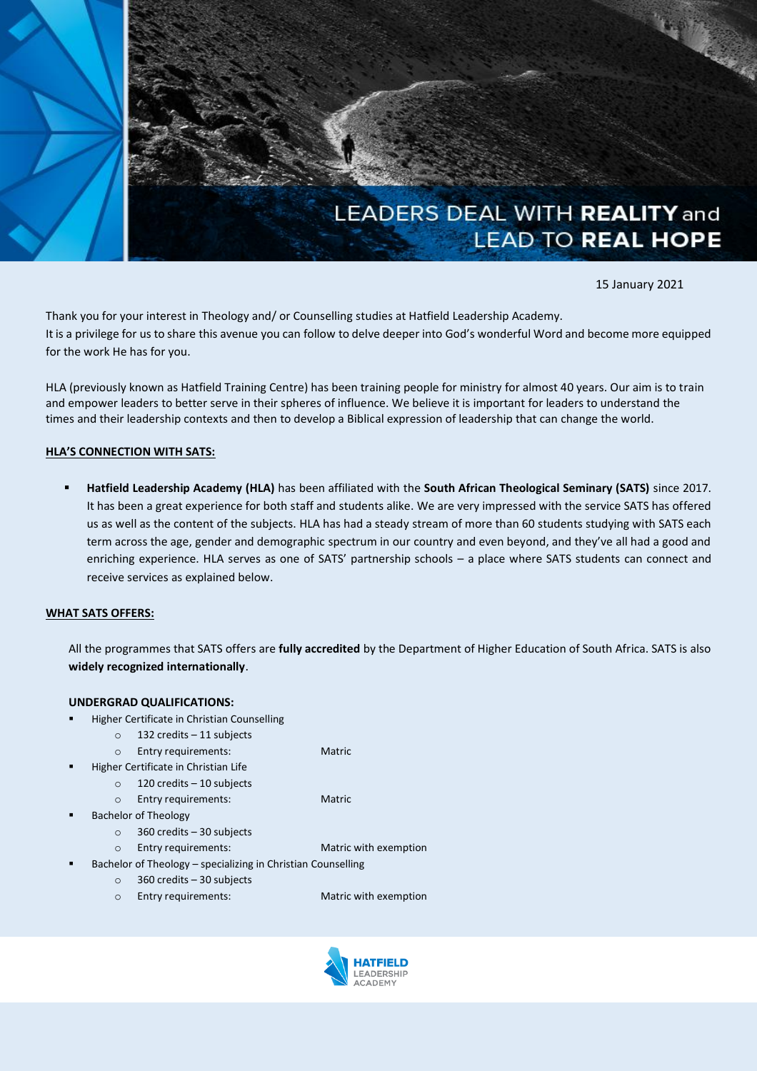

15 January 2021

Thank you for your interest in Theology and/ or Counselling studies at Hatfield Leadership Academy. It is a privilege for us to share this avenue you can follow to delve deeper into God's wonderful Word and become more equipped for the work He has for you.

HLA (previously known as Hatfield Training Centre) has been training people for ministry for almost 40 years. Our aim is to train and empower leaders to better serve in their spheres of influence. We believe it is important for leaders to understand the times and their leadership contexts and then to develop a Biblical expression of leadership that can change the world.

### **HLA'S CONNECTION WITH SATS:**

▪ **Hatfield Leadership Academy (HLA)** has been affiliated with the **South African Theological Seminary (SATS)** since 2017. It has been a great experience for both staff and students alike. We are very impressed with the service SATS has offered us as well as the content of the subjects. HLA has had a steady stream of more than 60 students studying with SATS each term across the age, gender and demographic spectrum in our country and even beyond, and they've all had a good and enriching experience. HLA serves as one of SATS' partnership schools – a place where SATS students can connect and receive services as explained below.

#### **WHAT SATS OFFERS:**

All the programmes that SATS offers are **fully accredited** by the Department of Higher Education of South Africa. SATS is also **widely recognized internationally**.

### **UNDERGRAD QUALIFICATIONS:**

- **Higher Certificate in Christian Counselling** 
	- o 132 credits 11 subjects
	- o Entry requirements: Matric
- Higher Certificate in Christian Life
	- o 120 credits 10 subjects

o Entry requirements: Matric

- **Bachelor of Theology** 
	- o 360 credits 30 subjects
	- o Entry requirements: Matric with exemption
- Bachelor of Theology specializing in Christian Counselling
	- o 360 credits 30 subjects
	- o Entry requirements: Matric with exemption

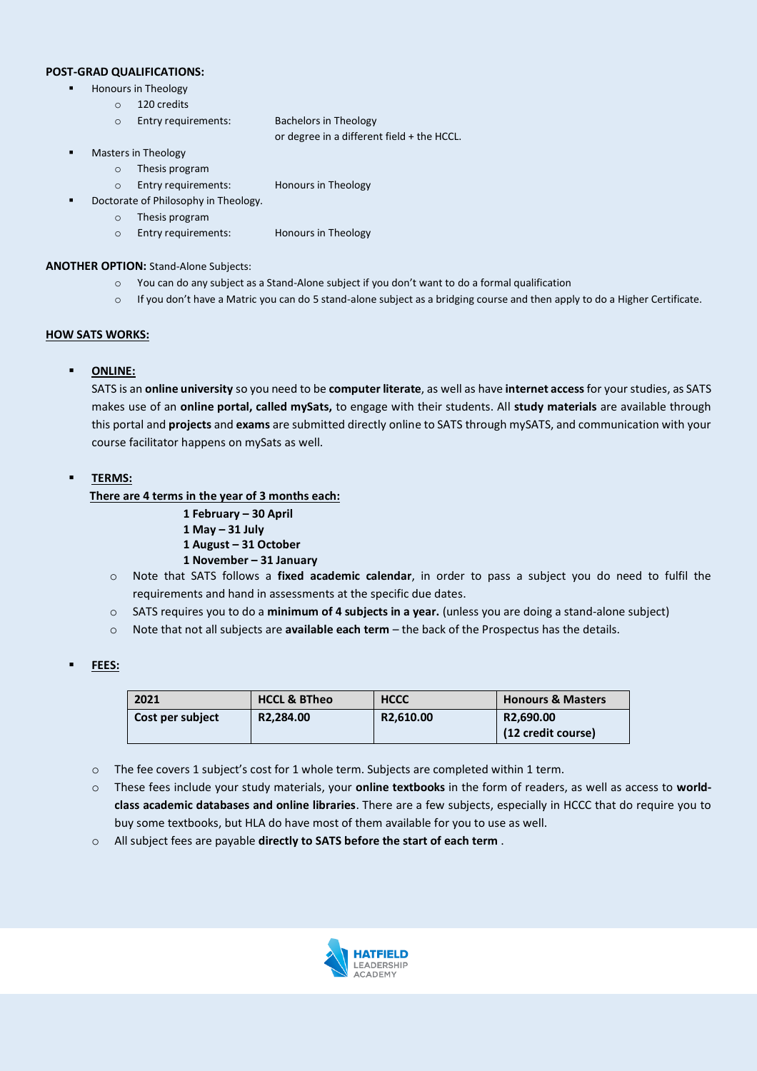### **POST-GRAD QUALIFICATIONS:**

- Honours in Theology
	- o 120 credits
	- o Entry requirements: Bachelors in Theology

or degree in a different field + the HCCL.

- Masters in Theology
	- o Thesis program
	- o Entry requirements: Honours in Theology
- **Doctorate of Philosophy in Theology.** 
	- o Thesis program
		- o Entry requirements: Honours in Theology

### **ANOTHER OPTION:** Stand-Alone Subjects:

- o You can do any subject as a Stand-Alone subject if you don't want to do a formal qualification
- $\circ$  If you don't have a Matric you can do 5 stand-alone subject as a bridging course and then apply to do a Higher Certificate.

### **HOW SATS WORKS:**

### ▪ **ONLINE:**

SATS is an **online university** so you need to be **computer literate**, as well as have **internet access**for your studies, as SATS makes use of an **online portal, called mySats,** to engage with their students. All **study materials** are available through this portal and **projects** and **exams** are submitted directly online to SATS through mySATS, and communication with your course facilitator happens on mySats as well.

### ▪ **TERMS:**

**There are 4 terms in the year of 3 months each:**

- **1 February – 30 April**
- **1 May – 31 July**
- **1 August – 31 October**
- **1 November – 31 January**
- o Note that SATS follows a **fixed academic calendar**, in order to pass a subject you do need to fulfil the requirements and hand in assessments at the specific due dates.
- o SATS requires you to do a **minimum of 4 subjects in a year.** (unless you are doing a stand-alone subject)
- o Note that not all subjects are **available each term** the back of the Prospectus has the details.

### ▪ **FEES:**

| 2021             | <b>HCCL &amp; BTheo</b> | <b>HCCC</b>           | <b>Honours &amp; Masters</b>    |
|------------------|-------------------------|-----------------------|---------------------------------|
| Cost per subject | R2.284.00               | R <sub>2.610.00</sub> | R2.690.00<br>(12 credit course) |

- o The fee covers 1 subject's cost for 1 whole term. Subjects are completed within 1 term.
- o These fees include your study materials, your **online textbooks** in the form of readers, as well as access to **worldclass academic databases and online libraries**. There are a few subjects, especially in HCCC that do require you to buy some textbooks, but HLA do have most of them available for you to use as well.
- o All subject fees are payable **directly to SATS before the start of each term** .

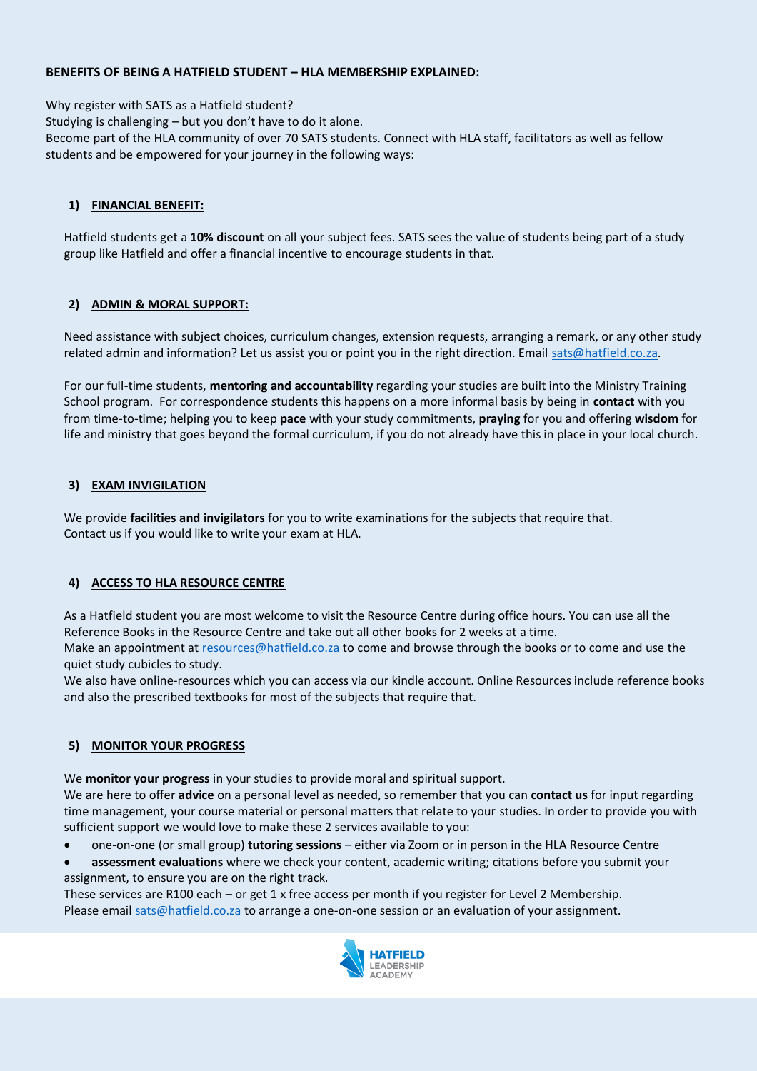# **BENEFITS OF BEING A HATFIELD STUDENT – HLA MEMBERSHIP EXPLAINED:**

Why register with SATS as a Hatfield student?

Studying is challenging – but you don't have to do it alone.

Become part of the HLA community of over 70 SATS students. Connect with HLA staff, facilitators as well as fellow students and be empowered for your journey in the following ways:

# **1) FINANCIAL BENEFIT:**

Hatfield students get a **10% discount** on all your subject fees. SATS sees the value of students being part of a study group like Hatfield and offer a financial incentive to encourage students in that.

# **2) ADMIN & MORAL SUPPORT:**

Need assistance with subject choices, curriculum changes, extension requests, arranging a remark, or any other study related admin and information? Let us assist you or point you in the right direction. Email [sats@hatfield.co.za.](mailto:sats@hatfield.co.za)

For our full-time students, **mentoring and accountability** regarding your studies are built into the Ministry Training School program. For correspondence students this happens on a more informal basis by being in **contact** with you from time-to-time; helping you to keep **pace** with your study commitments, **praying** for you and offering **wisdom** for life and ministry that goes beyond the formal curriculum, if you do not already have this in place in your local church.

# **3) EXAM INVIGILATION**

We provide **facilities and invigilators** for you to write examinations for the subjects that require that. Contact us if you would like to write your exam at HLA.

# **4) ACCESS TO HLA RESOURCE CENTRE**

As a Hatfield student you are most welcome to visit the Resource Centre during office hours. You can use all the Reference Books in the Resource Centre and take out all other books for 2 weeks at a time.

Make an appointment a[t resources@hatfield.co.za](mailto:resources@hatfield.co.za) to come and browse through the books or to come and use the quiet study cubicles to study.

We also have online-resources which you can access via our kindle account. Online Resources include reference books and also the prescribed textbooks for most of the subjects that require that.

# **5) MONITOR YOUR PROGRESS**

We **monitor your progress** in your studies to provide moral and spiritual support.

We are here to offer **advice** on a personal level as needed, so remember that you can **contact us** for input regarding time management, your course material or personal matters that relate to your studies. In order to provide you with sufficient support we would love to make these 2 services available to you:

- one-on-one (or small group) **tutoring sessions** either via Zoom or in person in the HLA Resource Centre
- **assessment evaluations** where we check your content, academic writing; citations before you submit your assignment, to ensure you are on the right track.

These services are R100 each – or get 1 x free access per month if you register for Level 2 Membership. Please email [sats@hatfield.co.za](mailto:sats@hatfield.co.za) to arrange a one-on-one session or an evaluation of your assignment.

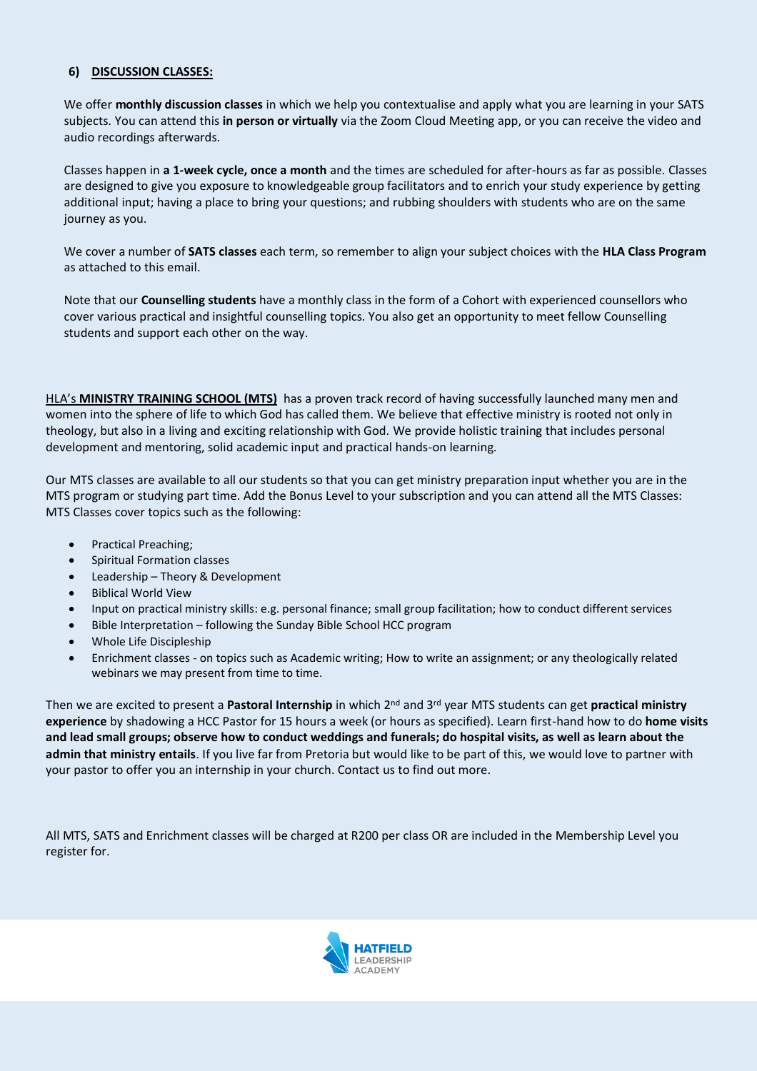## **6) DISCUSSION CLASSES:**

We offer **monthly discussion classes** in which we help you contextualise and apply what you are learning in your SATS subjects. You can attend this **in person or virtually** via the Zoom Cloud Meeting app, or you can receive the video and audio recordings afterwards.

Classes happen in **a 1-week cycle, once a month** and the times are scheduled for after-hours as far as possible. Classes are designed to give you exposure to knowledgeable group facilitators and to enrich your study experience by getting additional input; having a place to bring your questions; and rubbing shoulders with students who are on the same journey as you.

We cover a number of **SATS classes** each term, so remember to align your subject choices with the **HLA Class Program** as attached to this email.

Note that our **Counselling students** have a monthly class in the form of a Cohort with experienced counsellors who cover various practical and insightful counselling topics. You also get an opportunity to meet fellow Counselling students and support each other on the way.

HLA's **MINISTRY TRAINING SCHOOL (MTS)** has a proven track record of having successfully launched many men and women into the sphere of life to which God has called them. We believe that effective ministry is rooted not only in theology, but also in a living and exciting relationship with God. We provide holistic training that includes personal development and mentoring, solid academic input and practical hands-on learning.

Our MTS classes are available to all our students so that you can get ministry preparation input whether you are in the MTS program or studying part time. Add the Bonus Level to your subscription and you can attend all the MTS Classes: MTS Classes cover topics such as the following:

- Practical Preaching;
- Spiritual Formation classes
- Leadership Theory & Development
- Biblical World View
- Input on practical ministry skills: e.g. personal finance; small group facilitation; how to conduct different services
- Bible Interpretation following the Sunday Bible School HCC program
- Whole Life Discipleship
- Enrichment classes on topics such as Academic writing; How to write an assignment; or any theologically related webinars we may present from time to time.

Then we are excited to present a **Pastoral Internship** in which 2nd and 3rd year MTS students can get **practical ministry experience** by shadowing a HCC Pastor for 15 hours a week (or hours as specified). Learn first-hand how to do **home visits and lead small groups; observe how to conduct weddings and funerals; do hospital visits, as well as learn about the admin that ministry entails**. If you live far from Pretoria but would like to be part of this, we would love to partner with your pastor to offer you an internship in your church. Contact us to find out more.

All MTS, SATS and Enrichment classes will be charged at R200 per class OR are included in the Membership Level you register for.

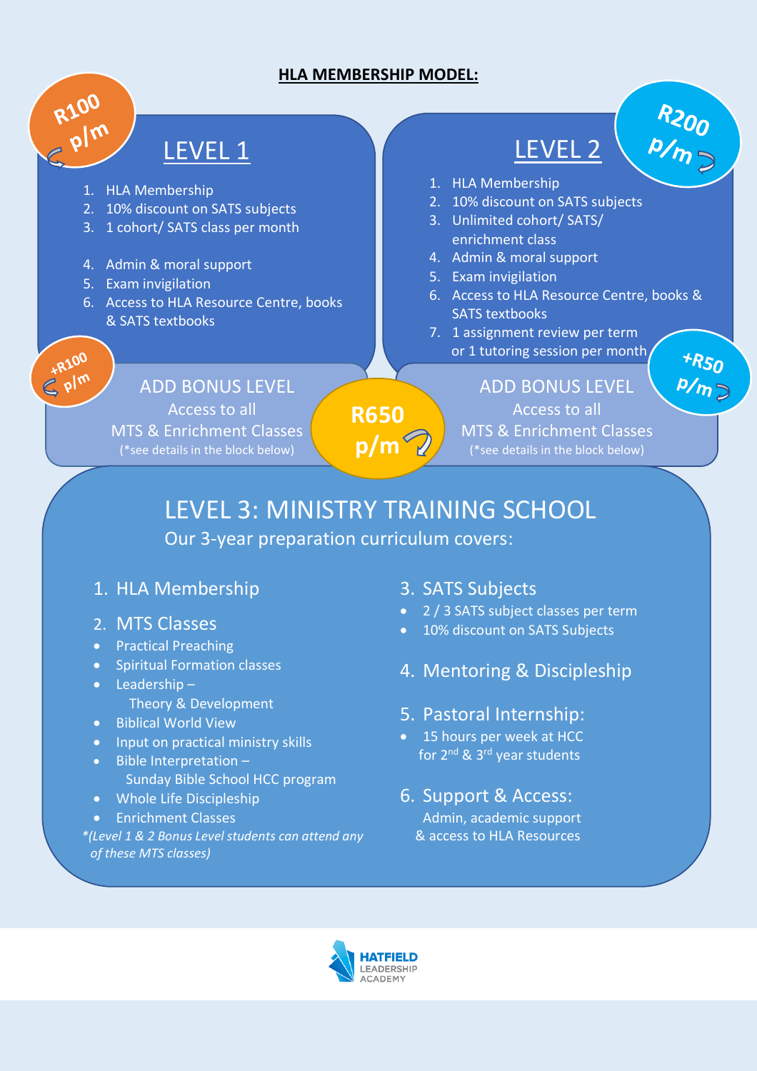# **HLA MEMBERSHIP MODEL:**

# LEVEL 1

1. HLA Membership

R100

 $\epsilon^{+R100}_{\text{plm}}$ 

- 2. 10% discount on SATS subjects
- 3. 1 cohort/ SATS class per month
- 4. Admin & moral support
- 5. Exam invigilation
- 6. Access to HLA Resource Centre, books & SATS textbooks

LEVEL 2 Ī

 $R_{200}$ <br> $\frac{P/m}{P}$ 

 $*$ R<sub>50</sub>

 $P/\eta$   $\geq$ 

- 1. HLA Membership
- 2. 10% discount on SATS subjects
- 3. Unlimited cohort/ SATS/ enrichment class
- 4. Admin & moral support
- 5. Exam invigilation
- 6. Access to HLA Resource Centre, books & SATS textbooks
- 7. 1 assignment review per term or 1 tutoring session per month

# ADD BONUS LEVEL

Access to all **MTS & Enrichment Classes** (\*see details in the block below)

 ADD BONUS LEVEL Access to all MTS & Enrichment Classes (\*see details in the block below)

**R650 p/m**

# LEVEL 3: MINISTRY TRAINING SCHOOL Our 3-year preparation curriculum covers:

# 1. HLA Membership

- 2. MTS Classes
- Practical Preaching
- Spiritual Formation classes
- Leadership Theory & Development
- Biblical World View
- Input on practical ministry skills
- Bible Interpretation Sunday Bible School HCC program
- Whole Life Discipleship
- Enrichment Classes

*\*(Level 1 & 2 Bonus Level students can attend any of these MTS classes)*

# 3. SATS Subjects

- 2 / 3 SATS subject classes per term
- 10% discount on SATS Subjects
- 4. Mentoring & Discipleship

# 5. Pastoral Internship:

• 15 hours per week at HCC for 2<sup>nd</sup> & 3<sup>rd</sup> year students

# 6. Support & Access:

Admin, academic support & access to HLA Resources

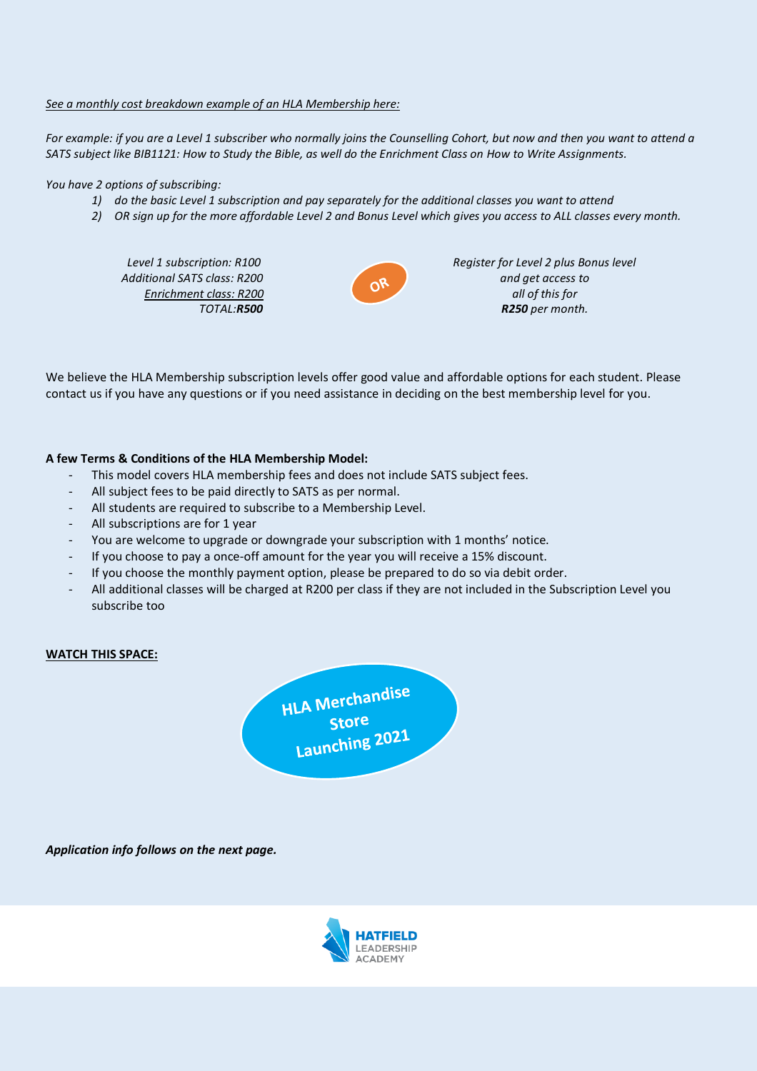### *See a monthly cost breakdown example of an HLA Membership here:*

*For example: if you are a Level 1 subscriber who normally joins the Counselling Cohort, but now and then you want to attend a SATS subject like BIB1121: How to Study the Bible, as well do the Enrichment Class on How to Write Assignments.*

*You have 2 options of subscribing:* 

- *1) do the basic Level 1 subscription and pay separately for the additional classes you want to attend*
- *2) OR sign up for the more affordable Level 2 and Bonus Level which gives you access to ALL classes every month.*

 *Level 1 subscription: R100 Additional SATS class: R200 Enrichment class: R200 TOTAL:R500*



*Register for Level 2 plus Bonus level and get access to all of this for R250 per month.*

We believe the HLA Membership subscription levels offer good value and affordable options for each student. Please contact us if you have any questions or if you need assistance in deciding on the best membership level for you.

### **A few Terms & Conditions of the HLA Membership Model:**

- This model covers HLA membership fees and does not include SATS subject fees.
- All subject fees to be paid directly to SATS as per normal.
- All students are required to subscribe to a Membership Level.
- All subscriptions are for 1 year
- You are welcome to upgrade or downgrade your subscription with 1 months' notice.
- If you choose to pay a once-off amount for the year you will receive a 15% discount.
- If you choose the monthly payment option, please be prepared to do so via debit order.
- All additional classes will be charged at R200 per class if they are not included in the Subscription Level you subscribe too

### **WATCH THIS SPACE:**



*Application info follows on the next page.*